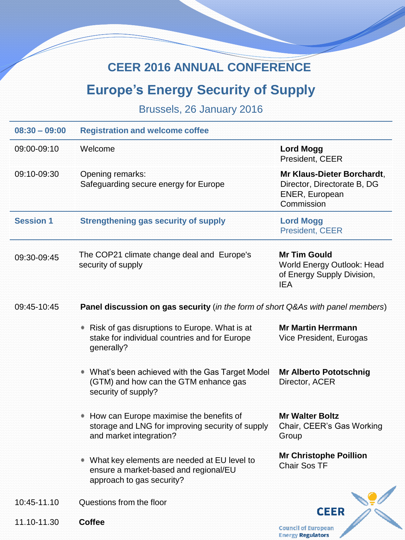## **CEER 2016 ANNUAL CONFERENCE**

## **Europe's Energy Security of Supply**

Brussels, 26 January 2016

| $08:30 - 09:00$  | <b>Registration and welcome coffee</b>                                                                                 |                                                                                               |  |
|------------------|------------------------------------------------------------------------------------------------------------------------|-----------------------------------------------------------------------------------------------|--|
| 09:00-09:10      | Welcome                                                                                                                | <b>Lord Mogg</b><br>President, CEER                                                           |  |
| 09:10-09:30      | Opening remarks:<br>Safeguarding secure energy for Europe                                                              | Mr Klaus-Dieter Borchardt,<br>Director, Directorate B, DG<br>ENER, European<br>Commission     |  |
| <b>Session 1</b> | <b>Strengthening gas security of supply</b>                                                                            | <b>Lord Mogg</b><br>President, CEER                                                           |  |
| 09:30-09:45      | The COP21 climate change deal and Europe's<br>security of supply                                                       | <b>Mr Tim Gould</b><br>World Energy Outlook: Head<br>of Energy Supply Division,<br><b>IEA</b> |  |
| 09:45-10:45      | Panel discussion on gas security (in the form of short Q&As with panel members)                                        |                                                                                               |  |
|                  | Risk of gas disruptions to Europe. What is at<br>۰<br>stake for individual countries and for Europe<br>generally?      | <b>Mr Martin Herrmann</b><br>Vice President, Eurogas                                          |  |
|                  | • What's been achieved with the Gas Target Model<br>(GTM) and how can the GTM enhance gas<br>security of supply?       | <b>Mr Alberto Pototschnig</b><br>Director, ACER                                               |  |
|                  | How can Europe maximise the benefits of<br>storage and LNG for improving security of supply<br>and market integration? | <b>Mr Walter Boltz</b><br>Chair, CEER's Gas Working<br>Group                                  |  |
|                  | What key elements are needed at EU level to<br>ensure a market-based and regional/EU<br>approach to gas security?      | <b>Mr Christophe Poillion</b><br><b>Chair Sos TF</b>                                          |  |
| 10:45-11.10      | Questions from the floor                                                                                               |                                                                                               |  |
| 11.10-11.30      | <b>Coffee</b>                                                                                                          | <b>CEER</b><br><b>Council of European</b>                                                     |  |

**Energy Regulators**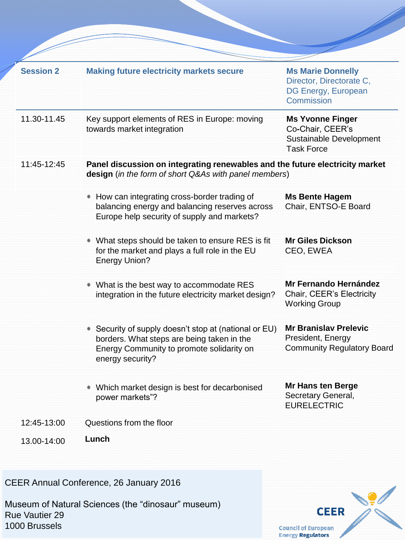| <b>Session 2</b> | <b>Making future electricity markets secure</b>                                                                                                                    | <b>Ms Marie Donnelly</b><br>Director, Directorate C,<br>DG Energy, European<br>Commission   |  |
|------------------|--------------------------------------------------------------------------------------------------------------------------------------------------------------------|---------------------------------------------------------------------------------------------|--|
| 11.30-11.45      | Key support elements of RES in Europe: moving<br>towards market integration                                                                                        | <b>Ms Yvonne Finger</b><br>Co-Chair, CEER's<br>Sustainable Development<br><b>Task Force</b> |  |
| 11:45-12:45      | Panel discussion on integrating renewables and the future electricity market<br>design (in the form of short Q&As with panel members)                              |                                                                                             |  |
|                  | How can integrating cross-border trading of<br>balancing energy and balancing reserves across<br>Europe help security of supply and markets?                       | <b>Ms Bente Hagem</b><br>Chair, ENTSO-E Board                                               |  |
|                  | What steps should be taken to ensure RES is fit<br>for the market and plays a full role in the EU<br><b>Energy Union?</b>                                          | <b>Mr Giles Dickson</b><br>CEO, EWEA                                                        |  |
|                  | What is the best way to accommodate RES<br>integration in the future electricity market design?                                                                    | Mr Fernando Hernández<br>Chair, CEER's Electricity<br><b>Working Group</b>                  |  |
|                  | Security of supply doesn't stop at (national or EU)<br>borders. What steps are being taken in the<br>Energy Community to promote solidarity on<br>energy security? | <b>Mr Branislav Prelevic</b><br>President, Energy<br><b>Community Regulatory Board</b>      |  |
|                  | • Which market design is best for decarbonised<br>power markets"?                                                                                                  | Mr Hans ten Berge<br>Secretary General,<br><b>EURELECTRIC</b>                               |  |
| 12:45-13:00      | Questions from the floor                                                                                                                                           |                                                                                             |  |
| 13.00-14:00      | Lunch                                                                                                                                                              |                                                                                             |  |

CEER Annual Conference, 26 January 2016

Museum of Natural Sciences (the "dinosaur" museum) Rue Vautier 29 1000 Brussels